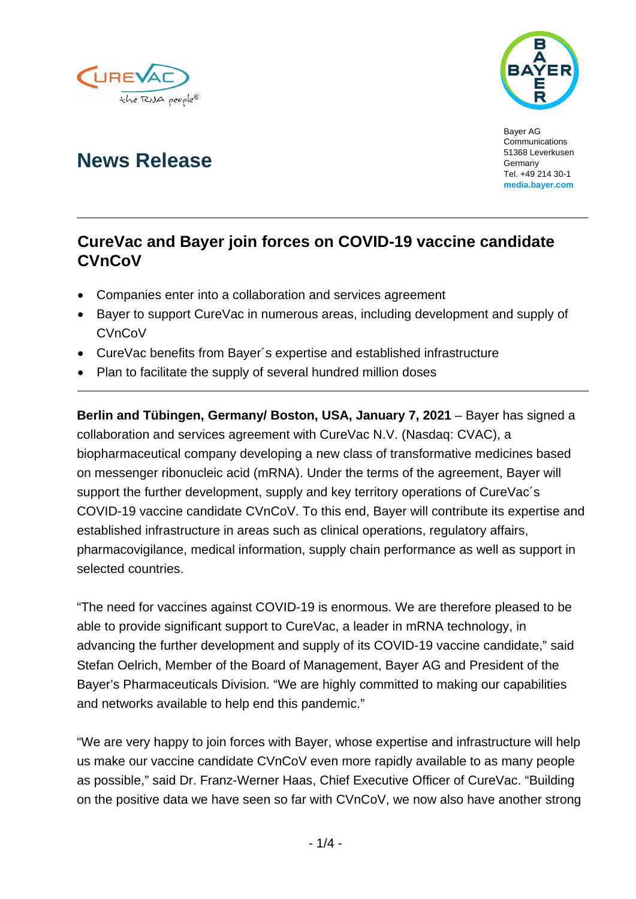



Bayer AG Communications 51368 Leverkusen Germany Tel. +49 214 30-1 **media.bayer.com**

# **News Release**

# **CureVac and Bayer join forces on COVID-19 vaccine candidate CVnCoV**

- Companies enter into a collaboration and services agreement
- Bayer to support CureVac in numerous areas, including development and supply of **CVnCoV**
- CureVac benefits from Bayer´s expertise and established infrastructure
- Plan to facilitate the supply of several hundred million doses

**Berlin and Tübingen, Germany/ Boston, USA, January 7, 2021** – Bayer has signed a collaboration and services agreement with CureVac N.V. (Nasdaq: CVAC), a biopharmaceutical company developing a new class of transformative medicines based on messenger ribonucleic acid (mRNA). Under the terms of the agreement, Bayer will support the further development, supply and key territory operations of CureVac's COVID-19 vaccine candidate CVnCoV. To this end, Bayer will contribute its expertise and established infrastructure in areas such as clinical operations, regulatory affairs, pharmacovigilance, medical information, supply chain performance as well as support in selected countries.

"The need for vaccines against COVID-19 is enormous. We are therefore pleased to be able to provide significant support to CureVac, a leader in mRNA technology, in advancing the further development and supply of its COVID-19 vaccine candidate," said Stefan Oelrich, Member of the Board of Management, Bayer AG and President of the Bayer's Pharmaceuticals Division. "We are highly committed to making our capabilities and networks available to help end this pandemic."

"We are very happy to join forces with Bayer, whose expertise and infrastructure will help us make our vaccine candidate CVnCoV even more rapidly available to as many people as possible," said Dr. Franz-Werner Haas, Chief Executive Officer of CureVac. "Building on the positive data we have seen so far with CVnCoV, we now also have another strong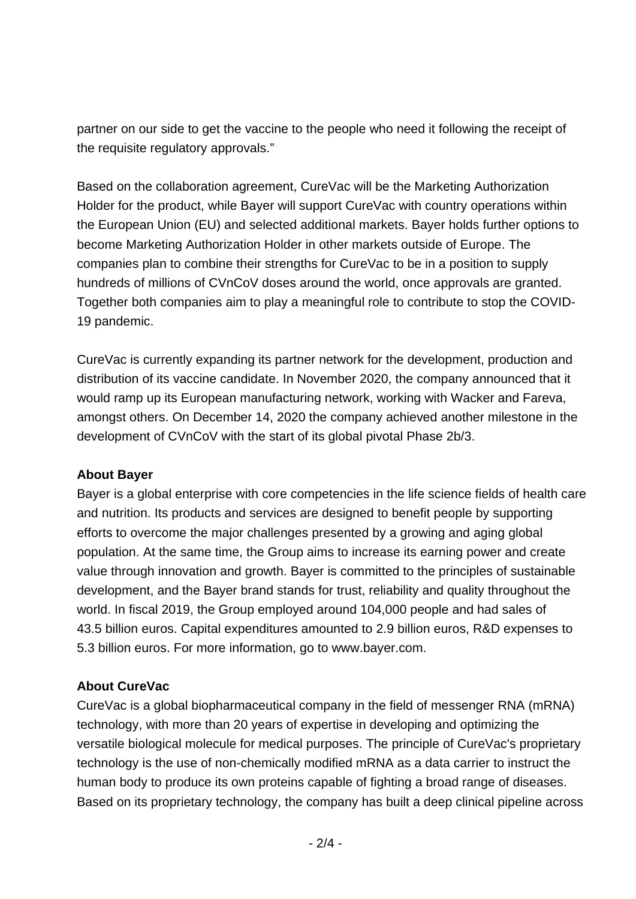partner on our side to get the vaccine to the people who need it following the receipt of the requisite regulatory approvals."

Based on the collaboration agreement, CureVac will be the Marketing Authorization Holder for the product, while Bayer will support CureVac with country operations within the European Union (EU) and selected additional markets. Bayer holds further options to become Marketing Authorization Holder in other markets outside of Europe. The companies plan to combine their strengths for CureVac to be in a position to supply hundreds of millions of CVnCoV doses around the world, once approvals are granted. Together both companies aim to play a meaningful role to contribute to stop the COVID-19 pandemic.

CureVac is currently expanding its partner network for the development, production and distribution of its vaccine candidate. In November 2020, the company announced that it would ramp up its European manufacturing network, working with Wacker and Fareva, amongst others. On December 14, 2020 the company achieved another milestone in the development of CVnCoV with the start of its global pivotal Phase 2b/3.

# **About Bayer**

Bayer is a global enterprise with core competencies in the life science fields of health care and nutrition. Its products and services are designed to benefit people by supporting efforts to overcome the major challenges presented by a growing and aging global population. At the same time, the Group aims to increase its earning power and create value through innovation and growth. Bayer is committed to the principles of sustainable development, and the Bayer brand stands for trust, reliability and quality throughout the world. In fiscal 2019, the Group employed around 104,000 people and had sales of 43.5 billion euros. Capital expenditures amounted to 2.9 billion euros, R&D expenses to 5.3 billion euros. For more information, go to [www.bayer.com.](http://www.bayer.com/)

# **About CureVac**

CureVac is a global biopharmaceutical company in the field of messenger RNA (mRNA) technology, with more than 20 years of expertise in developing and optimizing the versatile biological molecule for medical purposes. The principle of CureVac's proprietary technology is the use of non-chemically modified mRNA as a data carrier to instruct the human body to produce its own proteins capable of fighting a broad range of diseases. Based on its proprietary technology, the company has built a deep clinical pipeline across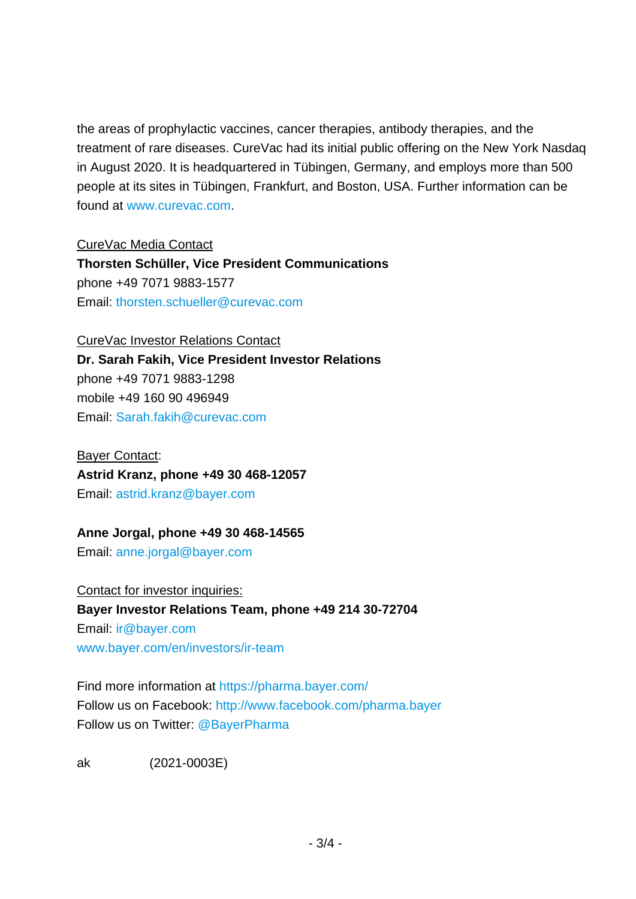the areas of prophylactic vaccines, cancer therapies, antibody therapies, and the treatment of rare diseases. CureVac had its initial public offering on the New York Nasdaq in August 2020. It is headquartered in Tübingen, Germany, and employs more than 500 people at its sites in Tübingen, Frankfurt, and Boston, USA. Further information can be found at [www.curevac.com.](http://www.curevac.com/)

CureVac Media Contact

**Thorsten Schüller, Vice President Communications** phone +49 7071 9883-1577 Email: [thorsten.schueller@curevac.com](mailto:thorsten.schueller@curevac.com)

#### CureVac Investor Relations Contact

**Dr. Sarah Fakih, Vice President Investor Relations** phone +49 7071 9883-1298 mobile +49 160 90 496949 Email: [Sarah.fakih@curevac.com](mailto:Sarah.fakih@curevac.com)

#### Bayer Contact:

## **Astrid Kranz, phone +49 30 468-12057**

Email: [astrid.kranz@bayer.com](mailto:astrid.kranz@bayer.com)

## **Anne Jorgal, phone +49 30 468-14565**

Email: [anne.jorgal@bayer.com](mailto:anne.jorgal@bayer.com)

Contact for investor inquiries: **Bayer Investor Relations Team, phone +49 214 30-72704** Email: [ir@bayer.com](mailto:ir@bayer.com) [www.bayer.com/en/investors/ir-team](https://www.bayer.com/en/investors/ir-team)

Find more information at<https://pharma.bayer.com/> Follow us on Facebook:<http://www.facebook.com/pharma.bayer> Follow us on Twitter: [@BayerPharma](https://twitter.com/bayerpharma)

ak (2021-0003E)